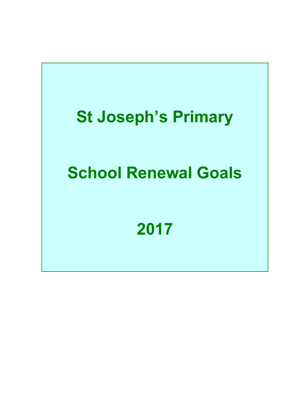# **St Joseph's Primary**

# **School Renewal Goals**

## **2017**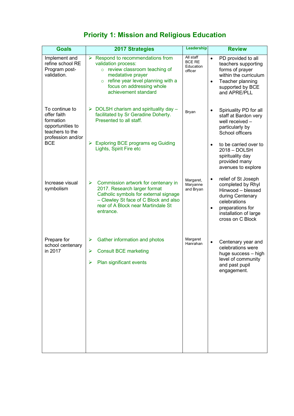### **Priority 1: Mission and Religious Education**

| <b>Goals</b>                                                                                                         | <b>2017 Strategies</b>                                                                                                                                                                                                                      | Leadership                                         | <b>Review</b>                                                                                                                                                                                |
|----------------------------------------------------------------------------------------------------------------------|---------------------------------------------------------------------------------------------------------------------------------------------------------------------------------------------------------------------------------------------|----------------------------------------------------|----------------------------------------------------------------------------------------------------------------------------------------------------------------------------------------------|
| Implement and<br>refine school RE<br>Program post-<br>validation.                                                    | Respond to recommendations from<br>$\blacktriangleright$<br>validation process:<br>o review classroom teaching of<br>medatative prayer<br>refine year level planning with a<br>$\circ$<br>focus on addressing whole<br>achievement standard | All staff<br><b>BCE RE</b><br>Education<br>officer | PD provided to all<br>$\bullet$<br>teachers supporting<br>forms of prayer<br>within the curriculum<br>Teacher planning<br>$\bullet$<br>supported by BCE<br>and APRE/PLL                      |
| To continue to<br>offer faith<br>formation<br>opportunities to<br>teachers to the<br>profession and/or<br><b>BCE</b> | DOLSH charism and spirituality day -<br>➤<br>facilitated by Sr Geradine Doherty.<br>Presented to all staff.                                                                                                                                 | Bryan                                              | Spiriuality PD for all<br>$\bullet$<br>staff at Bardon very<br>well received -<br>particularly by<br>School officers                                                                         |
|                                                                                                                      | <b>Exploring BCE programs eg Guiding</b><br>➤<br>Lights, Spirit Fire etc                                                                                                                                                                    |                                                    | to be carried over to<br>$\bullet$<br>2018 - DOLSH<br>spirituality day<br>provided many<br>avenues to explore                                                                                |
| Increase visual<br>symbolism                                                                                         | $\blacktriangleright$<br>Commission artwork for centenary in<br>2017. Research larger format<br>Catholic symbols for external signage<br>- Clewley St face of C Block and also<br>rear of A Block near Martindale St<br>entrance.           | Margaret,<br>Maryanne<br>and Bryan                 | relief of St Joseph<br>$\bullet$<br>completed by Rhyl<br>Hinwood - blessed<br>during Centenary<br>celebrations<br>preparations for<br>$\bullet$<br>installation of large<br>cross on C Block |
| Prepare for<br>school centenary<br>in 2017                                                                           | Gather information and photos<br>➤                                                                                                                                                                                                          | Margaret<br>Hanrahan                               | Centenary year and<br>$\bullet$<br>celebrations were<br>huge success - high<br>level of community<br>and past pupil<br>engagement.                                                           |
|                                                                                                                      | <b>Consult BCE marketing</b><br>➤<br>Plan significant events<br>➤                                                                                                                                                                           |                                                    |                                                                                                                                                                                              |
|                                                                                                                      |                                                                                                                                                                                                                                             |                                                    |                                                                                                                                                                                              |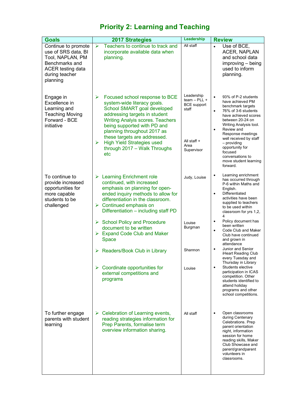## **Priority 2: Learning and Teaching**

| <b>Goals</b>                                                                                                                               | <b>2017 Strategies</b>                                                                                                                                                                                                                                                                                                                                       | Leadership                                                                                       | <b>Review</b>                                                                                                                                                                                                                                                                                                                                          |
|--------------------------------------------------------------------------------------------------------------------------------------------|--------------------------------------------------------------------------------------------------------------------------------------------------------------------------------------------------------------------------------------------------------------------------------------------------------------------------------------------------------------|--------------------------------------------------------------------------------------------------|--------------------------------------------------------------------------------------------------------------------------------------------------------------------------------------------------------------------------------------------------------------------------------------------------------------------------------------------------------|
| Continue to promote<br>use of SRS data, BI<br>Tool, NAPLAN, PM<br>Benchmarks and<br><b>ACER</b> testing data<br>during teacher<br>planning | Teachers to continue to track and<br>$\blacktriangleright$<br>incorporate available data when<br>planning.                                                                                                                                                                                                                                                   | All staff                                                                                        | Use of BCE,<br>$\bullet$<br><b>ACER, NAPLAN</b><br>and school data<br>improving – being<br>used to inform<br>planning.                                                                                                                                                                                                                                 |
| Engage in<br>Excellence in<br>Learning and<br><b>Teaching Moving</b><br>Forward - BCE<br>initiative                                        | Focused school response to BCE<br>➤<br>system-wide literacy goals.<br>School SMART goal developed<br>addressing targets in student<br><b>Writing Analyis scores. Teachers</b><br>being supported with PD and<br>planning throughout 2017 as<br>these targets are addressed.<br><b>High Yield Strategies used</b><br>➤<br>through 2017 - Walk Throughs<br>etc | Leadership<br>$team - PLL +$<br><b>BCE</b> support<br>staff<br>All staff +<br>Area<br>Supervisor | 93% of P-2 students<br>$\bullet$<br>have achieved PM<br>benchmark targets<br>76% of 3-6 students<br>$\bullet$<br>have achieved scores<br>between 20-24 on<br>Writing Analysis tool.<br>Review and<br>Response meetings<br>well received by staff<br>- providing<br>opportunity for<br>focused<br>conversations to<br>move student learning<br>forward. |
| To continue to<br>provide increased<br>opportunities for<br>more capable<br>students to be<br>challenged                                   | $\triangleright$ Learning Enrichment role<br>continued, with increased<br>emphasis on planning for open-<br>ended inquiry methods to allow for<br>differentiation in the classroom.<br>$\triangleright$ Continued emphasis on<br>Differentiation - including staff PD                                                                                        | Judy, Louise                                                                                     | Learning enrichment<br>has occurred through<br>P-6 within Maths and<br>English.<br>Differentiated<br>$\bullet$<br>activities have been<br>supplied to teachers<br>to be used within<br>classroom for yrs 1,2,                                                                                                                                          |
|                                                                                                                                            | $\triangleright$ School Policy and Procedure<br>document to be written<br>$\triangleright$ Expand Code Club and Maker<br><b>Space</b>                                                                                                                                                                                                                        | Louise<br>Burgman                                                                                | Policy document has<br>$\bullet$<br>been written<br>Code Club and Maker<br>$\bullet$<br>Club have continued<br>and grown in<br>attendance                                                                                                                                                                                                              |
|                                                                                                                                            | > Readers/Book Club in Library                                                                                                                                                                                                                                                                                                                               | Shannon                                                                                          | Junior and Senior<br>iHeart Reading Club<br>every Tuesday and                                                                                                                                                                                                                                                                                          |
|                                                                                                                                            | Coordinate opportunities for<br>➤<br>external competitions and<br>programs                                                                                                                                                                                                                                                                                   | Louise                                                                                           | Thursday in Library<br>Students elective<br>$\bullet$<br>participation in ICAS<br>competition. Other<br>students identified to<br>attend holiday<br>programs and other<br>school competitions.                                                                                                                                                         |
| To further engage<br>parents with student<br>learning                                                                                      | Celebration of Learning events,<br>➤<br>reading strategies information for<br>Prep Parents, formalise term<br>overview information sharing.                                                                                                                                                                                                                  | All staff                                                                                        | Open classrooms<br>during Centenary<br>Celebrations. Prep<br>parent orientation<br>night, information<br>session for home<br>reading skills, Maker<br>Club Showcase and<br>parent/grandparent<br>volunteers in<br>classrooms.                                                                                                                          |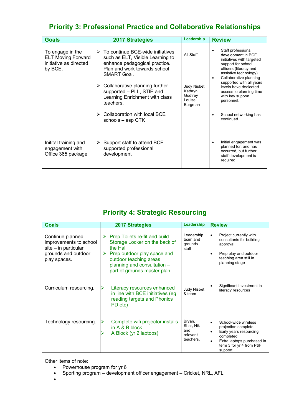### **Priority 3: Professional Practice and Collaborative Relationships**

| <b>Goals</b>                                                                       | <b>2017 Strategies</b>                                                                                                                                                       | Leadership                                             | <b>Review</b>                                                                                                                                                                                                                                                                               |
|------------------------------------------------------------------------------------|------------------------------------------------------------------------------------------------------------------------------------------------------------------------------|--------------------------------------------------------|---------------------------------------------------------------------------------------------------------------------------------------------------------------------------------------------------------------------------------------------------------------------------------------------|
| To engage in the<br><b>ELT Moving Forward</b><br>initiative as directed<br>by BCE. | $\triangleright$ To continue BCE-wide initiatives<br>such as ELT, Visible Learning to<br>enhance pedagogical practice.<br>Plan and work towards school<br><b>SMART Goal.</b> | All Staff                                              | Staff professional<br>development in BCE<br>initiatives with targeted<br>support for school<br>officers (literacy and<br>assistive technology).<br>Collaborative planning<br>supported with all years<br>levels have dedicated<br>access to planning time<br>with key support<br>personnel. |
|                                                                                    | Collaborative planning further<br>➤<br>supported - PLL, STIE and<br>Learning Enrichment with class<br>teachers.                                                              | Judy Nisbet<br>Kathryn<br>Godfrey<br>Louise<br>Burgman |                                                                                                                                                                                                                                                                                             |
|                                                                                    | Collaboration with local BCE<br>schools – esp CTK                                                                                                                            |                                                        | School networking has<br>continued.                                                                                                                                                                                                                                                         |
| Initital training and<br>engagement with<br>Office 365 package                     | Support staff to attend BCE<br>➤<br>supported professional<br>development                                                                                                    |                                                        | Initial engagement was<br>planned for, and has<br>occurred, but further<br>staff development is<br>required.                                                                                                                                                                                |

### **Priority 4: Strategic Resourcing**

| <b>Goals</b>                                                       | 2017 Strategies                                                                                                           | Leadership                                          | <b>Review</b>                                                                                                                                                                       |
|--------------------------------------------------------------------|---------------------------------------------------------------------------------------------------------------------------|-----------------------------------------------------|-------------------------------------------------------------------------------------------------------------------------------------------------------------------------------------|
| Continue planned<br>improvements to school<br>site - in particular | Prep Toilets re-fit and build<br>Storage Locker on the back of<br>the Hall                                                | Leadership<br>team and<br>grounds<br>staff          | Project currently with<br>$\bullet$<br>consultants for building<br>approval.                                                                                                        |
| grounds and outdoor<br>play spaces.                                | Prep outdoor play space and<br>➤<br>outdoor teaching areas<br>planning and consultation -<br>part of grounds master plan. |                                                     | Prep play and outdoor<br>٠<br>teaching area still in<br>planning stage                                                                                                              |
| Curriculum resourcing.                                             | Literacy resources enhanced<br>in line with BCE initiatives (eg<br>reading targets and Phonics<br>PD etc)                 | <b>Judy Nisbet</b><br>& team                        | Significant investment in<br>literacy resources                                                                                                                                     |
| Technology resourcing.                                             | Complete wifi projector installs<br>in $A \& B$ block<br>A Block (yr 2 laptops)                                           | Bryan,<br>Shar, Nik<br>and<br>relevant<br>teachers. | School-wide wireless<br>$\bullet$<br>projection complete.<br>Early years resourcing<br>$\bullet$<br>completed.<br>Extra laptops purchased in<br>term 3 for yr 4 from P&F<br>support |

Other items of note:

- Powerhouse program for yr 6
- Sporting program development officer engagement Cricket, NRL, AFL
- •